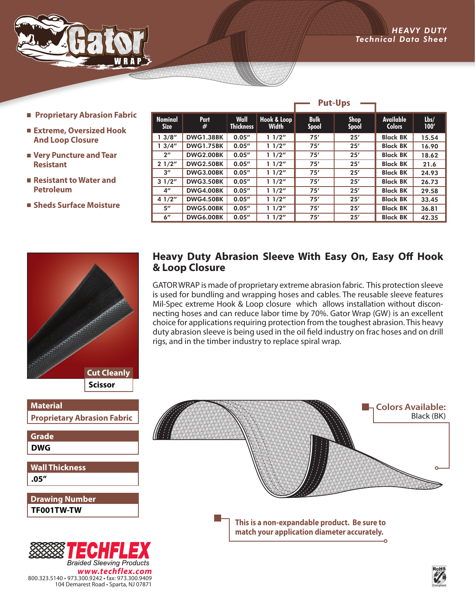

- **Proprietary Abrasion Fabric**
- **Extreme, Oversized Hook And Loop Closure**
- **Very Puncture and Tear Resistant**
- **Resistant to Water and Petroleum**
- **Sheds Surface Moisture**

| <b>Nominal</b><br><b>Size</b> | Part<br>#        | Wall<br><b>Thickness</b> | Hook & Loop<br><b>Width</b> | <b>Bulk</b><br><b>Spool</b> | <b>Shop</b><br><b>Spool</b> | <b>Available</b><br><b>Colors</b> | Lbs/<br>100' |
|-------------------------------|------------------|--------------------------|-----------------------------|-----------------------------|-----------------------------|-----------------------------------|--------------|
| 13/8''                        | <b>DWG1.38BK</b> | 0.05''                   | 11/2"                       | 75'                         | 25'                         | <b>Black BK</b>                   | 15.54        |
| 13/4"                         | <b>DWG1.75BK</b> | 0.05''                   | 11/2"                       | 75'                         | 25'                         | <b>Black BK</b>                   | 16.90        |
| $2^{\prime\prime}$            | <b>DWG2.00BK</b> | 0.05''                   | 11/2"                       | 75'                         | 25'                         | <b>Black BK</b>                   | 18.62        |
| 21/2"                         | <b>DWG2.50BK</b> | 0.05''                   | 11/2"                       | 75'                         | 25'                         | <b>Black BK</b>                   | 21.6         |
| $3^{\prime\prime}$            | <b>DWG3.00BK</b> | 0.05''                   | 11/2"                       | 75'                         | 25'                         | <b>Black BK</b>                   | 24.93        |
| 31/2"                         | <b>DWG3.50BK</b> | 0.05''                   | 11/2"                       | 75'                         | 25'                         | <b>Black BK</b>                   | 26.73        |
| 4"                            | <b>DWG4.00BK</b> | 0.05''                   | 11/2"                       | 75'                         | 25'                         | <b>Black BK</b>                   | 29.58        |
| 41/2"                         | <b>DWG4.50BK</b> | 0.05''                   | 11/2"                       | 75'                         | 25'                         | <b>Black BK</b>                   | 33.45        |
| $5^{\prime\prime}$            | <b>DWG5.00BK</b> | 0.05''                   | 11/2"                       | 75'                         | 25'                         | <b>Black BK</b>                   | 36.81        |
| $6^{\prime\prime}$            | <b>DWG6.00BK</b> | 0.05''                   | 11/2"                       | 75'                         | 25'                         | <b>Black BK</b>                   | 42.35        |

**Put-Ups**



| <b>Material</b>                    |
|------------------------------------|
| <b>Proprietary Abrasion Fabric</b> |
|                                    |

| ٧<br>í<br>۴<br>۱<br>ı |  |
|-----------------------|--|

**.05" Wall Thickness**

**TF001TW-TW Drawing Number**



## **Heavy Duty Abrasion Sleeve With Easy On, Easy Off Hook & Loop Closure**

GATOR WRAP is made of proprietary extreme abrasion fabric. This protection sleeve is used for bundling and wrapping hoses and cables. The reusable sleeve features Mil-Spec extreme Hook & Loop closure which allows installation without disconnecting hoses and can reduce labor time by 70%. Gator Wrap (GW) is an excellent choice for applications requiring protection from the toughest abrasion. This heavy duty abrasion sleeve is being used in the oil field industry on frac hoses and on drill rigs, and in the timber industry to replace spiral wrap.